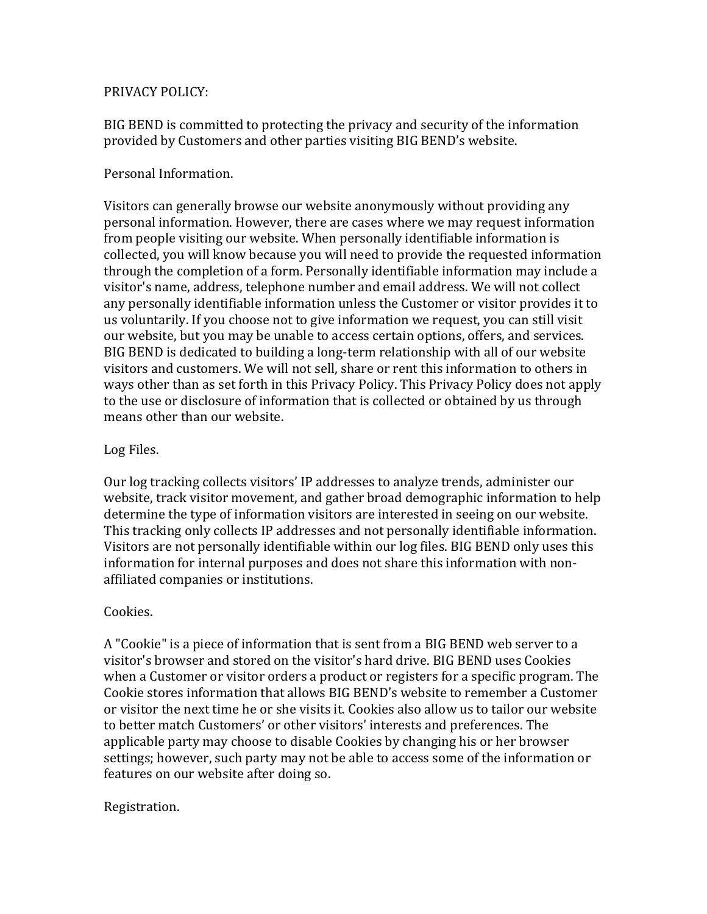## PRIVACY POLICY:

BIG BEND is committed to protecting the privacy and security of the information provided by Customers and other parties visiting BIG BEND's website.

## Personal Information.

Visitors can generally browse our website anonymously without providing any personal information. However, there are cases where we may request information from people visiting our website. When personally identifiable information is collected, you will know because you will need to provide the requested information through the completion of a form. Personally identifiable information may include a visitor's name, address, telephone number and email address. We will not collect any personally identifiable information unless the Customer or visitor provides it to us voluntarily. If you choose not to give information we request, you can still visit our website, but you may be unable to access certain options, offers, and services. BIG BEND is dedicated to building a long-term relationship with all of our website visitors and customers. We will not sell, share or rent this information to others in ways other than as set forth in this Privacy Policy. This Privacy Policy does not apply to the use or disclosure of information that is collected or obtained by us through means other than our website.

## Log Files.

Our log tracking collects visitors' IP addresses to analyze trends, administer our website, track visitor movement, and gather broad demographic information to help determine the type of information visitors are interested in seeing on our website. This tracking only collects IP addresses and not personally identifiable information. Visitors are not personally identifiable within our log files. BIG BEND only uses this information for internal purposes and does not share this information with nonaffiliated companies or institutions.

## Cookies.

A "Cookie" is a piece of information that is sent from a BIG BEND web server to a visitor's browser and stored on the visitor's hard drive. BIG BEND uses Cookies when a Customer or visitor orders a product or registers for a specific program. The Cookie stores information that allows BIG BEND's website to remember a Customer or visitor the next time he or she visits it. Cookies also allow us to tailor our website to better match Customers' or other visitors' interests and preferences. The applicable party may choose to disable Cookies by changing his or her browser settings; however, such party may not be able to access some of the information or features on our website after doing so.

# Registration.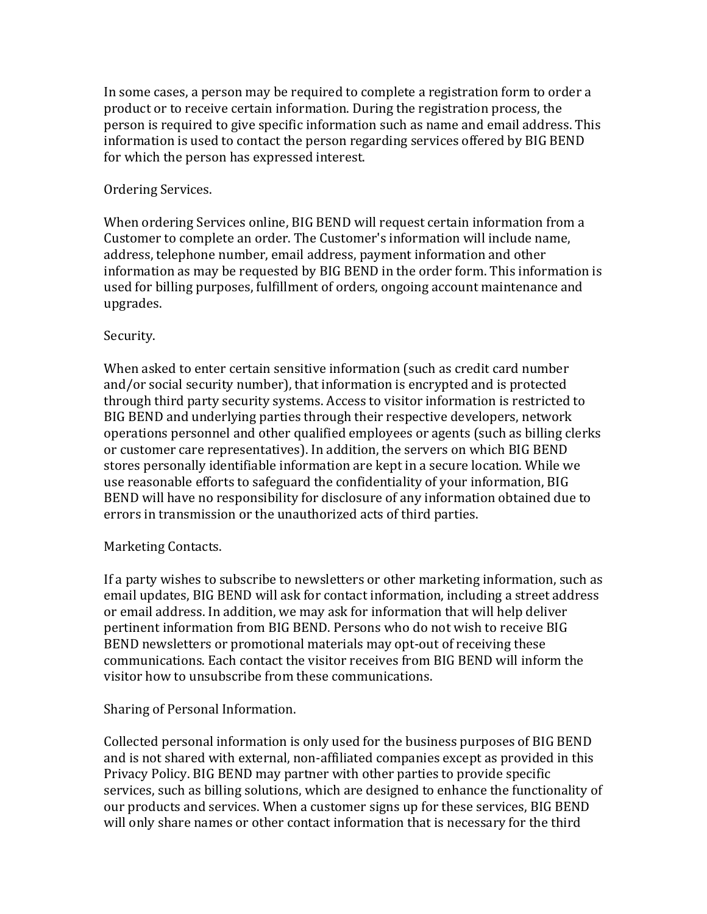In some cases, a person may be required to complete a registration form to order a product or to receive certain information. During the registration process, the person is required to give specific information such as name and email address. This information is used to contact the person regarding services offered by BIG BEND for which the person has expressed interest.

### Ordering Services.

When ordering Services online, BIG BEND will request certain information from a Customer to complete an order. The Customer's information will include name, address, telephone number, email address, payment information and other information as may be requested by BIG BEND in the order form. This information is used for billing purposes, fulfillment of orders, ongoing account maintenance and upgrades. 

#### Security.

When asked to enter certain sensitive information (such as credit card number and/or social security number), that information is encrypted and is protected through third party security systems. Access to visitor information is restricted to BIG BEND and underlying parties through their respective developers, network operations personnel and other qualified employees or agents (such as billing clerks or customer care representatives). In addition, the servers on which BIG BEND stores personally identifiable information are kept in a secure location. While we use reasonable efforts to safeguard the confidentiality of your information, BIG BEND will have no responsibility for disclosure of any information obtained due to errors in transmission or the unauthorized acts of third parties.

## Marketing Contacts.

If a party wishes to subscribe to newsletters or other marketing information, such as email updates, BIG BEND will ask for contact information, including a street address or email address. In addition, we may ask for information that will help deliver pertinent information from BIG BEND. Persons who do not wish to receive BIG BEND newsletters or promotional materials may opt-out of receiving these communications. Each contact the visitor receives from BIG BEND will inform the visitor how to unsubscribe from these communications.

## Sharing of Personal Information.

Collected personal information is only used for the business purposes of BIG BEND and is not shared with external, non-affiliated companies except as provided in this Privacy Policy. BIG BEND may partner with other parties to provide specific services, such as billing solutions, which are designed to enhance the functionality of our products and services. When a customer signs up for these services, BIG BEND will only share names or other contact information that is necessary for the third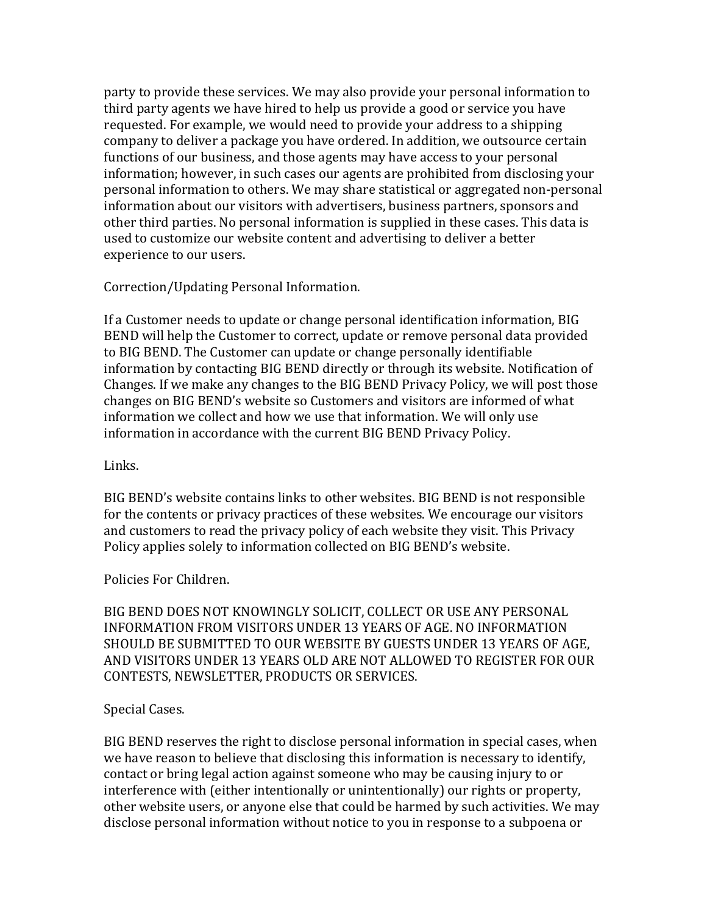party to provide these services. We may also provide your personal information to third party agents we have hired to help us provide a good or service you have requested. For example, we would need to provide your address to a shipping company to deliver a package you have ordered. In addition, we outsource certain functions of our business, and those agents may have access to your personal information; however, in such cases our agents are prohibited from disclosing your personal information to others. We may share statistical or aggregated non-personal information about our visitors with advertisers, business partners, sponsors and other third parties. No personal information is supplied in these cases. This data is used to customize our website content and advertising to deliver a better experience to our users.

Correction/Updating Personal Information.

If a Customer needs to update or change personal identification information, BIG BEND will help the Customer to correct, update or remove personal data provided to BIG BEND. The Customer can update or change personally identifiable information by contacting BIG BEND directly or through its website. Notification of Changes. If we make any changes to the BIG BEND Privacy Policy, we will post those changes on BIG BEND's website so Customers and visitors are informed of what information we collect and how we use that information. We will only use information in accordance with the current BIG BEND Privacy Policy.

#### Links.

BIG BEND's website contains links to other websites. BIG BEND is not responsible for the contents or privacy practices of these websites. We encourage our visitors and customers to read the privacy policy of each website they visit. This Privacy Policy applies solely to information collected on BIG BEND's website.

Policies For Children.

BIG BEND DOES NOT KNOWINGLY SOLICIT, COLLECT OR USE ANY PERSONAL INFORMATION FROM VISITORS UNDER 13 YEARS OF AGE. NO INFORMATION SHOULD BE SUBMITTED TO OUR WEBSITE BY GUESTS UNDER 13 YEARS OF AGE. AND VISITORS UNDER 13 YEARS OLD ARE NOT ALLOWED TO REGISTER FOR OUR CONTESTS, NEWSLETTER, PRODUCTS OR SERVICES.

## Special Cases.

BIG BEND reserves the right to disclose personal information in special cases, when we have reason to believe that disclosing this information is necessary to identify, contact or bring legal action against someone who may be causing injury to or interference with (either intentionally or unintentionally) our rights or property, other website users, or anyone else that could be harmed by such activities. We may disclose personal information without notice to you in response to a subpoena or